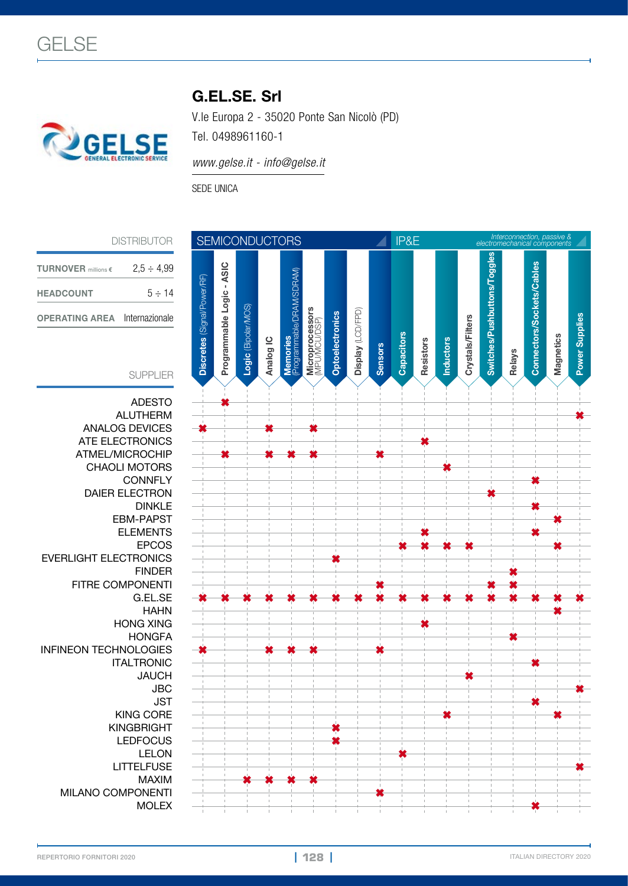

## G.EL.SE. Srl

V.le Europa 2 - 35020 Ponte San Nicolò (PD)

Tel. 0498961160-1

*www.gelse.it - info@gelse.it*

SEDE UNICA

| <b>TURNOVER</b> millions $\epsilon$ | $2.5 \div 4.99$ |
|-------------------------------------|-----------------|
| <b>HEADCOUNT</b>                    | $5 \div 14$     |
| <b>OPERATING AREA</b>               | Internazionale  |

## SUPPLIER

ADESTO<br>ALUTHERM ANALOG DEVICES **✖ ✖ ✖** ATE ELECTRONICS **✖** ATMEL/MICROCHIP **✖ ✖ ✖ ✖ ✖** CHAOLI MOTORS<br>CONNFLY DAIER ELECTRON<br>DINKLE EVERLIGHT ELECTRONICS<br>FINDER FITRE COMPONENTI **✖ ✖ ✖** HONG XING<br>HONGFA **WEINEON TECHNOLOGIES**<br>**TALTRONIC KINGBRIGHT** LEDFOCUS<br>LELON MAXIM **✖ ✖ ✖ ✖** MILANO COMPONENTI<br>MOLEX